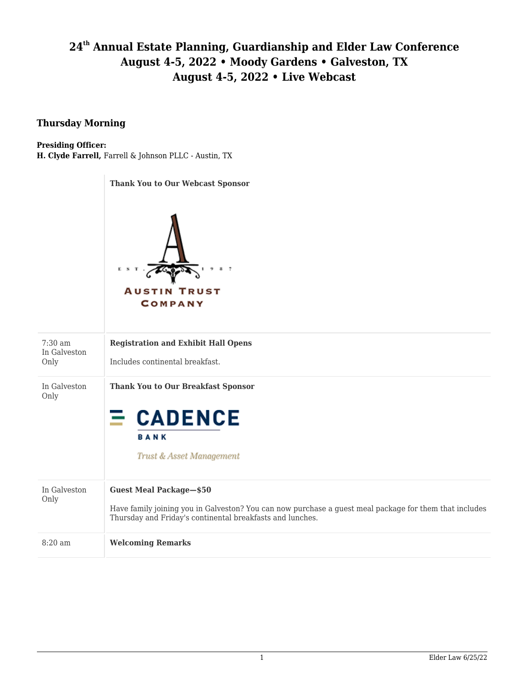# **24th Annual Estate Planning, Guardianship and Elder Law Conference August 4-5, 2022 • Moody Gardens • Galveston, TX August 4-5, 2022 • Live Webcast**

### **Thursday Morning**

#### **Presiding Officer:**

**H. Clyde Farrell,** Farrell & Johnson PLLC - Austin, TX

#### **Thank You to Our Webcast Sponsor**



| $7:30 \text{ am}$<br>In Galveston<br>Only | <b>Registration and Exhibit Hall Opens</b><br>Includes continental breakfast.                                                                                                                         |
|-------------------------------------------|-------------------------------------------------------------------------------------------------------------------------------------------------------------------------------------------------------|
| In Galveston<br>Only                      | <b>Thank You to Our Breakfast Sponsor</b><br>$\equiv$ CADENCE<br><b>BANK</b><br>Trust & Asset Management                                                                                              |
| In Galveston<br>Only                      | <b>Guest Meal Package-\$50</b><br>Have family joining you in Galveston? You can now purchase a guest meal package for them that includes<br>Thursday and Friday's continental breakfasts and lunches. |
| $8:20$ am                                 | <b>Welcoming Remarks</b>                                                                                                                                                                              |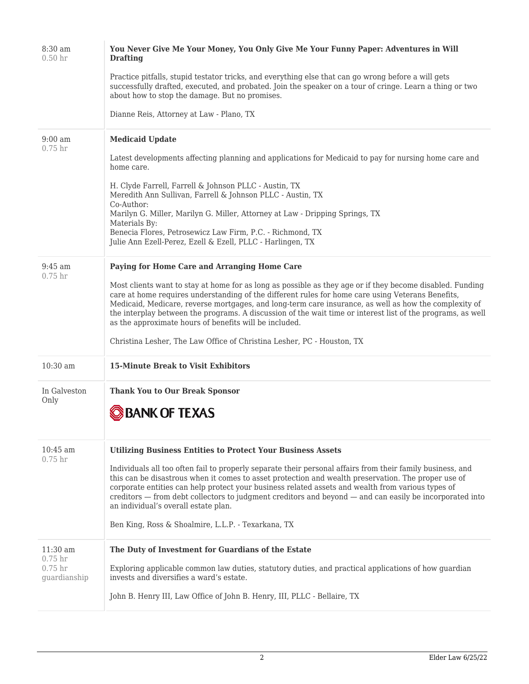| 8:30 am<br>0.50 <sub>hr</sub>      | You Never Give Me Your Money, You Only Give Me Your Funny Paper: Adventures in Will<br><b>Drafting</b>                                                                                                                                                                                                                                                                                                                                                                                           |
|------------------------------------|--------------------------------------------------------------------------------------------------------------------------------------------------------------------------------------------------------------------------------------------------------------------------------------------------------------------------------------------------------------------------------------------------------------------------------------------------------------------------------------------------|
|                                    | Practice pitfalls, stupid testator tricks, and everything else that can go wrong before a will gets<br>successfully drafted, executed, and probated. Join the speaker on a tour of cringe. Learn a thing or two<br>about how to stop the damage. But no promises.                                                                                                                                                                                                                                |
|                                    | Dianne Reis, Attorney at Law - Plano, TX                                                                                                                                                                                                                                                                                                                                                                                                                                                         |
| $9:00$ am<br>$0.75$ hr             | <b>Medicaid Update</b>                                                                                                                                                                                                                                                                                                                                                                                                                                                                           |
|                                    | Latest developments affecting planning and applications for Medicaid to pay for nursing home care and<br>home care.                                                                                                                                                                                                                                                                                                                                                                              |
|                                    | H. Clyde Farrell, Farrell & Johnson PLLC - Austin, TX<br>Meredith Ann Sullivan, Farrell & Johnson PLLC - Austin, TX<br>Co-Author:                                                                                                                                                                                                                                                                                                                                                                |
|                                    | Marilyn G. Miller, Marilyn G. Miller, Attorney at Law - Dripping Springs, TX<br>Materials By:                                                                                                                                                                                                                                                                                                                                                                                                    |
|                                    | Benecia Flores, Petrosewicz Law Firm, P.C. - Richmond, TX<br>Julie Ann Ezell-Perez, Ezell & Ezell, PLLC - Harlingen, TX                                                                                                                                                                                                                                                                                                                                                                          |
| $9:45$ am<br>$0.75$ hr             | Paying for Home Care and Arranging Home Care                                                                                                                                                                                                                                                                                                                                                                                                                                                     |
|                                    | Most clients want to stay at home for as long as possible as they age or if they become disabled. Funding<br>care at home requires understanding of the different rules for home care using Veterans Benefits,<br>Medicaid, Medicare, reverse mortgages, and long-term care insurance, as well as how the complexity of<br>the interplay between the programs. A discussion of the wait time or interest list of the programs, as well<br>as the approximate hours of benefits will be included. |
|                                    | Christina Lesher, The Law Office of Christina Lesher, PC - Houston, TX                                                                                                                                                                                                                                                                                                                                                                                                                           |
| $10:30$ am                         | <b>15-Minute Break to Visit Exhibitors</b>                                                                                                                                                                                                                                                                                                                                                                                                                                                       |
| In Galveston<br>Only               | <b>Thank You to Our Break Sponsor</b><br><b>BANK OF TEXAS</b>                                                                                                                                                                                                                                                                                                                                                                                                                                    |
| $10:45$ am                         | <b>Utilizing Business Entities to Protect Your Business Assets</b>                                                                                                                                                                                                                                                                                                                                                                                                                               |
| 0.75 <sub>hr</sub>                 | Individuals all too often fail to properly separate their personal affairs from their family business, and<br>this can be disastrous when it comes to asset protection and wealth preservation. The proper use of<br>corporate entities can help protect your business related assets and wealth from various types of<br>creditors — from debt collectors to judgment creditors and beyond — and can easily be incorporated into<br>an individual's overall estate plan.                        |
|                                    | Ben King, Ross & Shoalmire, L.L.P. - Texarkana, TX                                                                                                                                                                                                                                                                                                                                                                                                                                               |
| $11:30$ am<br>$0.75$ hr            | The Duty of Investment for Guardians of the Estate                                                                                                                                                                                                                                                                                                                                                                                                                                               |
| 0.75 <sub>hr</sub><br>guardianship | Exploring applicable common law duties, statutory duties, and practical applications of how guardian<br>invests and diversifies a ward's estate.                                                                                                                                                                                                                                                                                                                                                 |
|                                    | John B. Henry III, Law Office of John B. Henry, III, PLLC - Bellaire, TX                                                                                                                                                                                                                                                                                                                                                                                                                         |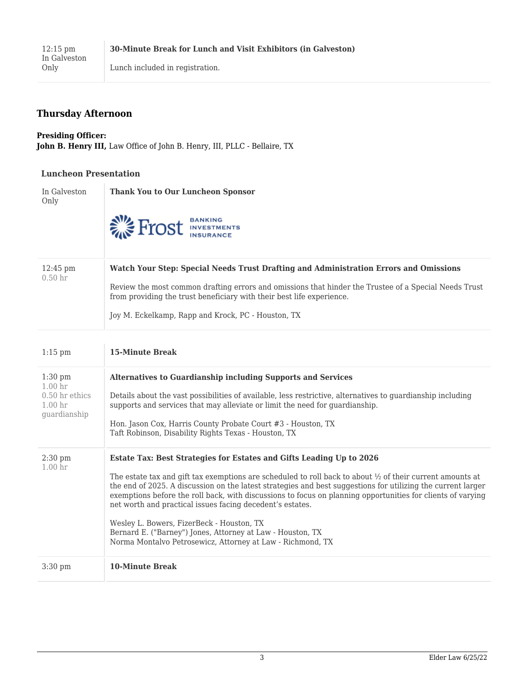## **Thursday Afternoon**

#### **Presiding Officer: John B. Henry III,** Law Office of John B. Henry, III, PLLC - Bellaire, TX

#### **Luncheon Presentation**

| In Galveston                             | <b>Thank You to Our Luncheon Sponsor</b>                                                                                                                                                                                                                                                                                      |
|------------------------------------------|-------------------------------------------------------------------------------------------------------------------------------------------------------------------------------------------------------------------------------------------------------------------------------------------------------------------------------|
| Only                                     | <b>EXTREMEL'S EXPIRE PROPERTY</b>                                                                                                                                                                                                                                                                                             |
| $12:45 \text{ pm}$<br>0.50 <sub>hr</sub> | Watch Your Step: Special Needs Trust Drafting and Administration Errors and Omissions<br>Review the most common drafting errors and omissions that hinder the Trustee of a Special Needs Trust<br>from providing the trust beneficiary with their best life experience.<br>Joy M. Eckelkamp, Rapp and Krock, PC - Houston, TX |

| $1:15$ pm                                                                                 | <b>15-Minute Break</b>                                                                                                                                                                                                                                                                                                                                                                                                                                                                                                                                                                                                                                            |
|-------------------------------------------------------------------------------------------|-------------------------------------------------------------------------------------------------------------------------------------------------------------------------------------------------------------------------------------------------------------------------------------------------------------------------------------------------------------------------------------------------------------------------------------------------------------------------------------------------------------------------------------------------------------------------------------------------------------------------------------------------------------------|
| $1:30$ pm<br>1.00 <sub>hr</sub><br>$0.50$ hr ethics<br>1.00 <sub>hr</sub><br>guardianship | <b>Alternatives to Guardianship including Supports and Services</b><br>Details about the vast possibilities of available, less restrictive, alternatives to guardianship including<br>supports and services that may alleviate or limit the need for quardianship.<br>Hon. Jason Cox, Harris County Probate Court #3 - Houston, TX<br>Taft Robinson, Disability Rights Texas - Houston, TX                                                                                                                                                                                                                                                                        |
| $2:30$ pm<br>1.00 <sub>hr</sub>                                                           | Estate Tax: Best Strategies for Estates and Gifts Leading Up to 2026<br>The estate tax and gift tax exemptions are scheduled to roll back to about $\frac{1}{2}$ of their current amounts at<br>the end of 2025. A discussion on the latest strategies and best suggestions for utilizing the current larger<br>exemptions before the roll back, with discussions to focus on planning opportunities for clients of varying<br>net worth and practical issues facing decedent's estates.<br>Wesley L. Bowers, FizerBeck - Houston, TX<br>Bernard E. ("Barney") Jones, Attorney at Law - Houston, TX<br>Norma Montalvo Petrosewicz, Attorney at Law - Richmond, TX |
| $3:30$ pm                                                                                 | <b>10-Minute Break</b>                                                                                                                                                                                                                                                                                                                                                                                                                                                                                                                                                                                                                                            |
|                                                                                           |                                                                                                                                                                                                                                                                                                                                                                                                                                                                                                                                                                                                                                                                   |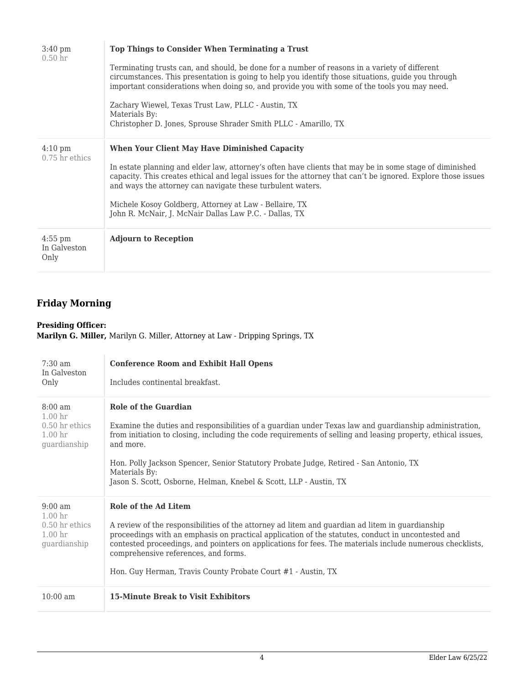| $3:40 \text{ pm}$<br>0.50 <sub>hr</sub> | Top Things to Consider When Terminating a Trust<br>Terminating trusts can, and should, be done for a number of reasons in a variety of different<br>circumstances. This presentation is going to help you identify those situations, guide you through<br>important considerations when doing so, and provide you with some of the tools you may need.<br>Zachary Wiewel, Texas Trust Law, PLLC - Austin, TX<br>Materials By:<br>Christopher D. Jones, Sprouse Shrader Smith PLLC - Amarillo, TX |
|-----------------------------------------|--------------------------------------------------------------------------------------------------------------------------------------------------------------------------------------------------------------------------------------------------------------------------------------------------------------------------------------------------------------------------------------------------------------------------------------------------------------------------------------------------|
| $4:10 \text{ pm}$<br>$0.75$ hr ethics   | <b>When Your Client May Have Diminished Capacity</b><br>In estate planning and elder law, attorney's often have clients that may be in some stage of diminished<br>capacity. This creates ethical and legal issues for the attorney that can't be ignored. Explore those issues<br>and ways the attorney can navigate these turbulent waters.<br>Michele Kosoy Goldberg, Attorney at Law - Bellaire, TX<br>John R. McNair, J. McNair Dallas Law P.C. - Dallas, TX                                |
| $4:55$ pm<br>In Galveston<br>Only       | <b>Adjourn to Reception</b>                                                                                                                                                                                                                                                                                                                                                                                                                                                                      |

## **Friday Morning**

#### **Presiding Officer:**

**Marilyn G. Miller,** Marilyn G. Miller, Attorney at Law - Dripping Springs, TX

| $7:30$ am<br>In Galveston<br>Only                                                                 | <b>Conference Room and Exhibit Hall Opens</b><br>Includes continental breakfast.                                                                                                                                                                                                                                                                                                                                                                  |
|---------------------------------------------------------------------------------------------------|---------------------------------------------------------------------------------------------------------------------------------------------------------------------------------------------------------------------------------------------------------------------------------------------------------------------------------------------------------------------------------------------------------------------------------------------------|
| $8:00 \text{ am}$<br>1.00 <sub>hr</sub><br>$0.50$ hr ethics<br>1.00 <sub>hr</sub><br>guardianship | <b>Role of the Guardian</b><br>Examine the duties and responsibilities of a guardian under Texas law and guardianship administration,<br>from initiation to closing, including the code requirements of selling and leasing property, ethical issues,<br>and more.<br>Hon. Polly Jackson Spencer, Senior Statutory Probate Judge, Retired - San Antonio, TX<br>Materials By:<br>Jason S. Scott, Osborne, Helman, Knebel & Scott, LLP - Austin, TX |
| $9:00 \text{ am}$<br>1.00 <sub>hr</sub><br>$0.50$ hr ethics<br>1.00 <sub>hr</sub><br>guardianship | Role of the Ad Litem<br>A review of the responsibilities of the attorney ad litem and guardian ad litem in guardianship<br>proceedings with an emphasis on practical application of the statutes, conduct in uncontested and<br>contested proceedings, and pointers on applications for fees. The materials include numerous checklists,<br>comprehensive references, and forms.<br>Hon. Guy Herman, Travis County Probate Court #1 - Austin, TX  |
| $10:00$ am                                                                                        | <b>15-Minute Break to Visit Exhibitors</b>                                                                                                                                                                                                                                                                                                                                                                                                        |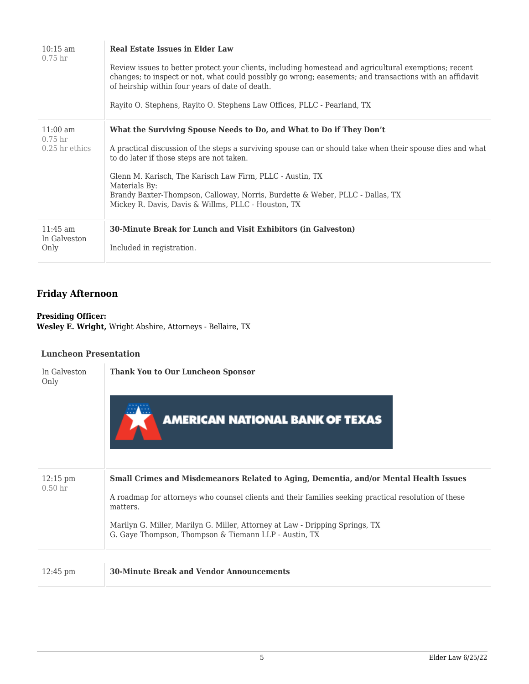| $10:15 \text{ am}$<br>0.75 <sub>hr</sub>                     | <b>Real Estate Issues in Elder Law</b><br>Review issues to better protect your clients, including homestead and agricultural exemptions; recent<br>changes; to inspect or not, what could possibly go wrong; easements; and transactions with an affidavit<br>of heirship within four years of date of death.<br>Rayito O. Stephens, Rayito O. Stephens Law Offices, PLLC - Pearland, TX                                                            |
|--------------------------------------------------------------|-----------------------------------------------------------------------------------------------------------------------------------------------------------------------------------------------------------------------------------------------------------------------------------------------------------------------------------------------------------------------------------------------------------------------------------------------------|
| $11:00 \text{ am}$<br>0.75 <sub>hr</sub><br>$0.25$ hr ethics | What the Surviving Spouse Needs to Do, and What to Do if They Don't<br>A practical discussion of the steps a surviving spouse can or should take when their spouse dies and what<br>to do later if those steps are not taken.<br>Glenn M. Karisch, The Karisch Law Firm, PLLC - Austin, TX<br>Materials By:<br>Brandy Baxter-Thompson, Calloway, Norris, Burdette & Weber, PLLC - Dallas, TX<br>Mickey R. Davis, Davis & Willms, PLLC - Houston, TX |
| $11:45$ am<br>In Galveston<br>Only                           | 30-Minute Break for Lunch and Visit Exhibitors (in Galveston)<br>Included in registration.                                                                                                                                                                                                                                                                                                                                                          |

## **Friday Afternoon**

**Presiding Officer: Wesley E. Wright,** Wright Abshire, Attorneys - Bellaire, TX

#### **Luncheon Presentation**

| In Galveston<br>Only                     | <b>Thank You to Our Luncheon Sponsor</b><br><b>AMERICAN NATIONAL BANK OF TEXAS</b>                                                                                                                                                                                                                                                                 |
|------------------------------------------|----------------------------------------------------------------------------------------------------------------------------------------------------------------------------------------------------------------------------------------------------------------------------------------------------------------------------------------------------|
| $12:15 \text{ pm}$<br>0.50 <sub>hr</sub> | Small Crimes and Misdemeanors Related to Aging, Dementia, and/or Mental Health Issues<br>A roadmap for attorneys who counsel clients and their families seeking practical resolution of these<br>matters.<br>Marilyn G. Miller, Marilyn G. Miller, Attorney at Law - Dripping Springs, TX<br>G. Gaye Thompson, Thompson & Tiemann LLP - Austin, TX |
| $12:45 \text{ pm}$                       | <b>30-Minute Break and Vendor Announcements</b>                                                                                                                                                                                                                                                                                                    |